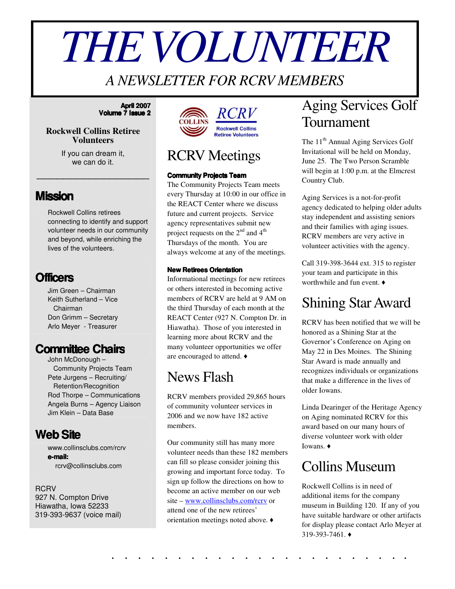# *THEVOLUNTEER*

#### *A NEWSLETTER FOR RCRV MEMBERS*

#### **April 2007 Volume 7 Issue 2**

#### **Rockwell Collins Retiree Volunteers**

If you can dream it, we can do it.

\_\_\_\_\_\_\_\_\_\_\_\_\_\_\_\_\_

#### **Mission**

Rockwell Collins retirees connecting to identify and support volunteer needs in our community and beyond, while enriching the lives of the volunteers.

#### **Officers**

Jim Green – Chairman Keith Sutherland – Vice Chairman Don Grimm – Secretary Arlo Meyer - Treasurer

#### **Committee Chairs**

John McDonough – Community Projects Team Pete Jurgens – Recruiting/ Retention/Recognition Rod Thorpe – Communications Angela Burns – Agency Liaison Jim Klein – Data Base

#### **WebSite**

www.collinsclubs.com/rcrv **e-mail:** rcrv@collinsclubs.com

#### RCRV 927 N. Compton Drive

Hiawatha, Iowa 52233 319-393-9637 (voice mail)





#### RCRV Meetings

#### **Community Projects Team**

The Community Projects Team meets every Thursday at 10:00 in our office in the REACT Center where we discuss future and current projects. Service agency representatives submit new project requests on the  $2^{nd}$  and  $4^{th}$ Thursdays of the month. You are always welcome at any of the meetings.

#### **New Retirees Orientation**

Informational meetings for new retirees or others interested in becoming active members of RCRV are held at 9 AM on the third Thursday of each month at the REACT Center (927 N. Compton Dr. in Hiawatha). Those of you interested in learning more about RCRV and the many volunteer opportunities we offer are encouraged to attend.

#### News Flash

RCRV members provided 29,865 hours of community volunteer services in 2006 and we now have 182 active members.

Our community still has many more volunteer needs than these 182 members can fill so please consider joining this growing and important force today. To sign up follow the directions on how to become an active member on our web site – www.collinsclubs.com/rcrv or attend one of the new retirees' orientation meetings noted above.

## Aging Services Golf Tournament

The 11<sup>th</sup> Annual Aging Services Golf Invitational will be held on Monday, June 25. The Two Person Scramble will begin at 1:00 p.m. at the Elmcrest Country Club.

Aging Services is a not-for-profit agency dedicated to helping older adults stay independent and assisting seniors and their families with aging issues. RCRV members are very active in volunteer activities with the agency.

Call 319-398-3644 ext. 315 to register your team and participate in this worthwhile and fun event.

## Shining StarAward

RCRV has been notified that we will be honored as a Shining Star at the Governor's Conference on Aging on May 22 in Des Moines. The Shining Star Award is made annually and recognizes individuals or organizations that make a difference in the lives of older Iowans.

Linda Dearinger of the Heritage Agency on Aging nominated RCRV for this award based on our many hours of diverse volunteer work with older Iowans.

#### Collins Museum

Rockwell Collins is in need of additional items for the company museum in Building 120. If any of you have suitable hardware or other artifacts for display please contact Arlo Meyer at 319-393-7461.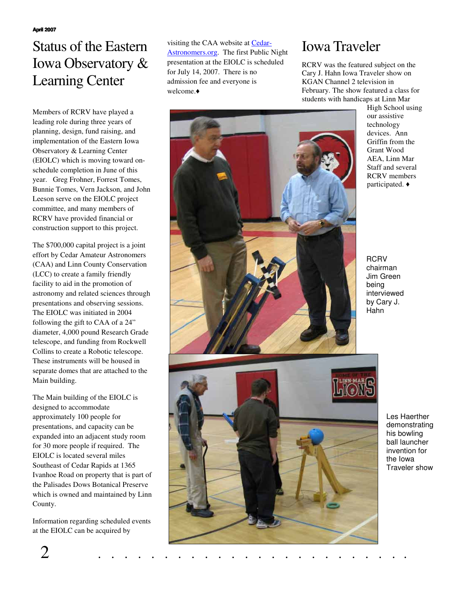## Status of the Eastern Iowa Observatory & Learning Center

Members of RCRV have played a leading role during three years of planning, design, fund raising, and implementation of the Eastern Iowa Observatory & Learning Center (EIOLC) which is moving toward onschedule completion in June of this year. Greg Frohner, Forrest Tomes, Bunnie Tomes, Vern Jackson, and John Leeson serve on the EIOLC project committee, and many members of RCRV have provided financial or construction support to this project.

The \$700,000 capital project is a joint effort by Cedar Amateur Astronomers (CAA) and Linn County Conservation (LCC) to create a family friendly facility to aid in the promotion of astronomy and related sciences through presentations and observing sessions. The EIOLC was initiated in 2004 following the gift to CAA of a 24" diameter, 4,000 pound Research Grade telescope, and funding from Rockwell Collins to create a Robotic telescope. These instruments will be housed in separate domes that are attached to the Main building.

The Main building of the EIOLC is designed to accommodate approximately 100 people for presentations, and capacity can be expanded into an adjacent study room for 30 more people if required. The EIOLC is located several miles Southeast of Cedar Rapids at 1365 Ivanhoe Road on property that is part of the Palisades Dows Botanical Preserve which is owned and maintained by Linn County.

Information regarding scheduled events at the EIOLC can be acquired by

visiting the CAA website at Cedar-Astronomers.org. The first Public Night presentation at the EIOLC is scheduled for July 14, 2007. There is no admission fee and everyone is welcome.

#### Iowa Traveler

RCRV was the featured subject on the Cary J. Hahn Iowa Traveler show on KGAN Channel 2 television in February. The show featured a class for students with handicaps at Linn Mar



High School using our assistive technology devices. Ann Griffin from the Grant Wood AEA, Linn Mar Staff and several RCRV members participated.

**RCRV** chairman Jim Green being interviewed by Cary J. Hahn

> Les Haerther demonstrating his bowling ball launcher invention for the Iowa Traveler show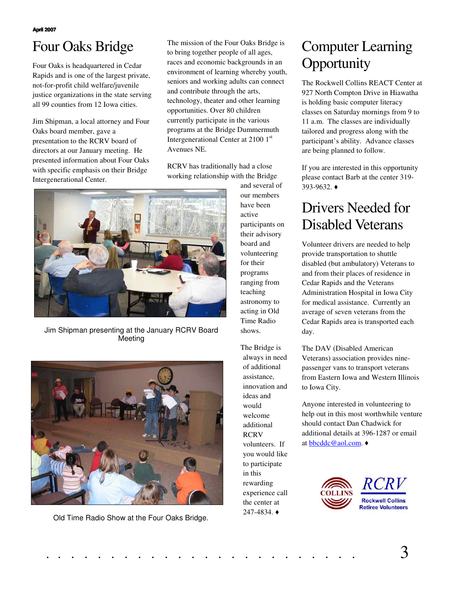# Four Oaks Bridge

Four Oaks is headquartered in Cedar Rapids and is one of the largest private, not-for-profit child welfare/juvenile justice organizations in the state serving all 99 counties from 12 Iowa cities.

Jim Shipman, a local attorney and Four Oaks board member, gave a presentation to the RCRV board of directors at our January meeting. He presented information about Four Oaks with specific emphasis on their Bridge Intergenerational Center.

The mission of the Four Oaks Bridge is to bring together people of all ages, races and economic backgrounds in an environment of learning whereby youth, seniors and working adults can connect and contribute through the arts, technology, theater and other learning opportunities. Over 80 children currently participate in the various programs at the Bridge Dummermuth Intergenerational Center at 2100 1st Avenues NE.

RCRV has traditionally had a close working relationship with the Bridge



Jim Shipman presenting at the January RCRV Board Meeting



Old Time Radio Show at the Four Oaks Bridge.

and several of our members have been active participants on their advisory board and volunteering for their programs ranging from teaching astronomy to acting in Old Time Radio shows.

The Bridge is always in need of additional assistance, innovation and ideas and would welcome additional **RCRV** volunteers. If you would like to participate in this rewarding experience call the center at 247-4834.

## Computer Learning **Opportunity**

The Rockwell Collins REACT Center at 927 North Compton Drive in Hiawatha is holding basic computer literacy classes on Saturday mornings from 9 to 11 a.m. The classes are individually tailored and progress along with the participant's ability. Advance classes are being planned to follow.

If you are interested in this opportunity please contact Barb at the center 319- 393-9632.

# Drivers Needed for Disabled Veterans

Volunteer drivers are needed to help provide transportation to shuttle disabled (but ambulatory) Veterans to and from their places of residence in Cedar Rapids and the Veterans Administration Hospital in Iowa City for medical assistance. Currently an average of seven veterans from the Cedar Rapids area is transported each day.

The DAV (Disabled American Veterans) association provides ninepassenger vans to transport veterans from Eastern Iowa and Western Illinois to Iowa City.

Anyone interested in volunteering to help out in this most worthwhile venture should contact Dan Chadwick for additional details at 396-1287 or email at bbcddc@aol.com.